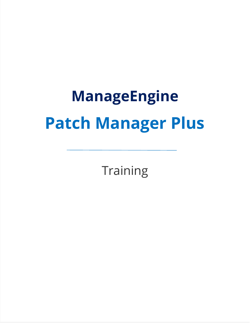# **ManageEngine Patch Manager Plus**

**Training**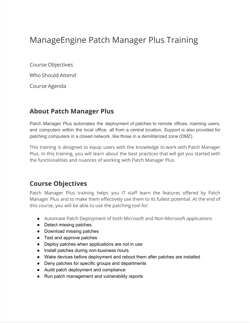## ManageEngine Patch Manager Plus Training

Course Objectives

Who Should Attend

Course Agenda

#### **About Patch Manager Plus**

Patch Manager Plus automates the deployment of patches to remote offices, roaming users, and computers within the local office, all from a central location. Support is also provided for patching computers in a closed network, like those in a demilitarized zone (DMZ).

This training is designed to equip users with the knowledge to work with Patch Manager Plus. In this training, you will learn about the best practices that will get you started with the functionalities and nuances of working with Patch Manager Plus.

#### **Course Objectives**

Patch Manager Plus training helps you IT staff learn the features offered by Patch Manager Plus and to make them effectively use them to its fullest potential. At the end of this course, you will be able to use the patching tool for:

- Automate Patch Deployment of both Microsoft and Non-Microsoft applications
- Detect missing patches
- Download missing patches
- Test and approve patches
- Deploy patches when applications are not in use
- Install patches during non-business hours
- Wake devices before deployment and reboot them after patches are installed
- Deny patches for specific groups and departments
- Audit patch deployment and compliance
- Run patch management and vulnerability reports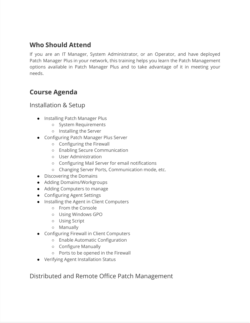## **Who Should Attend**

If you are an IT Manager, System Administrator, or an Operator, and have deployed Patch Manager Plus in your network, this training helps you learn the Patch Management options available in Patch Manager Plus and to take advantage of it in meeting your needs.

### **Course Agenda**

#### Installation & Setup

- Installing Patch Manager Plus
	- System Requirements
	- Installing the Server
- Configuring Patch Manager Plus Server
	- Configuring the Firewall
	- Enabling Secure Communication
	- User Administration
	- Configuring Mail Server for email notifications
	- Changing Server Ports, Communication mode, etc.
- Discovering the Domains
- Adding Domains/Workgroups
- Adding Computers to manage
- Configuring Agent Settings
- Installing the Agent in Client Computers
	- From the Console
	- Using Windows GPO
	- Using Script
	- Manually
- Configuring Firewall in Client Computers
	- Enable Automatic Configuration
	- Configure Manually
	- Ports to be opened in the Firewall
- Verifying Agent Installation Status

Distributed and Remote Office Patch Management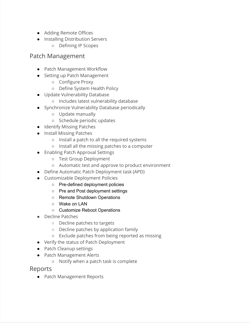- Adding Remote Offices
- Installing Distribution Servers
	- Defining IP Scopes

#### Patch Management

- Patch Management Workflow
- Setting up Patch Management
	- Configure Proxy
	- Define System Health Policy
- Update Vulnerability Database
	- Includes latest vulnerability database
- Synchronize Vulnerability Database periodically
	- Update manually
	- Schedule periodic updates
- Identify Missing Patches
- Install Missing Patches
	- Install a patch to all the required systems
	- Install all the missing patches to a computer
- Enabling Patch Approval Settings
	- Test Group Deployment
	- Automatic test and approve to product environment
- Define Automatic Patch Deployment task (APD)
- Customizable Deployment Policies
	- Pre-defined deployment policies
	- Pre and Post deployment settings
	- Remote Shutdown Operations
	- Wake on LAN
	- Customize Reboot Operations
- Decline Patches
	- Decline patches to targets
	- Decline patches by application family
	- Exclude patches from being reported as missing
- Verify the status of Patch Deployment
- Patch Cleanup settings
- Patch Management Alerts
	- Notify when a patch task is complete

Reports

● Patch Management Reports